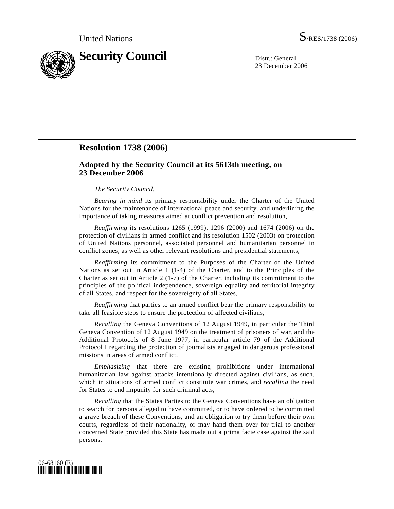

23 December 2006

## **Resolution 1738 (2006)**

## **Adopted by the Security Council at its 5613th meeting, on 23 December 2006**

## *The Security Council*,

*Bearing in mind* its primary responsibility under the Charter of the United Nations for the maintenance of international peace and security, and underlining the importance of taking measures aimed at conflict prevention and resolution,

*Reaffirming* its resolutions 1265 (1999), 1296 (2000) and 1674 (2006) on the protection of civilians in armed conflict and its resolution 1502 (2003) on protection of United Nations personnel, associated personnel and humanitarian personnel in conflict zones, as well as other relevant resolutions and presidential statements,

*Reaffirming* its commitment to the Purposes of the Charter of the United Nations as set out in Article 1 (1-4) of the Charter, and to the Principles of the Charter as set out in Article 2 (1-7) of the Charter, including its commitment to the principles of the political independence, sovereign equality and territorial integrity of all States, and respect for the sovereignty of all States,

*Reaffirming* that parties to an armed conflict bear the primary responsibility to take all feasible steps to ensure the protection of affected civilians,

*Recalling* the Geneva Conventions of 12 August 1949, in particular the Third Geneva Convention of 12 August 1949 on the treatment of prisoners of war, and the Additional Protocols of 8 June 1977, in particular article 79 of the Additional Protocol I regarding the protection of journalists engaged in dangerous professional missions in areas of armed conflict,

*Emphasizing* that there are existing prohibitions under international humanitarian law against attacks intentionally directed against civilians, as such, which in situations of armed conflict constitute war crimes, and *recalling* the need for States to end impunity for such criminal acts,

*Recalling* that the States Parties to the Geneva Conventions have an obligation to search for persons alleged to have committed, or to have ordered to be committed a grave breach of these Conventions, and an obligation to try them before their own courts, regardless of their nationality, or may hand them over for trial to another concerned State provided this State has made out a prima facie case against the said persons,

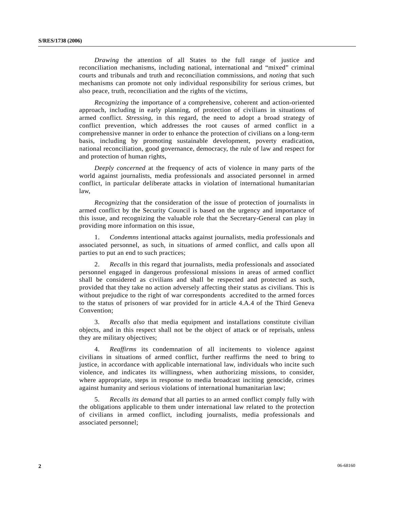*Drawing* the attention of all States to the full range of justice and reconciliation mechanisms, including national, international and "mixed" criminal courts and tribunals and truth and reconciliation commissions, and *noting* that such mechanisms can promote not only individual responsibility for serious crimes, but also peace, truth, reconciliation and the rights of the victims,

*Recognizing* the importance of a comprehensive, coherent and action-oriented approach, including in early planning, of protection of civilians in situations of armed conflict. *Stressing*, in this regard, the need to adopt a broad strategy of conflict prevention, which addresses the root causes of armed conflict in a comprehensive manner in order to enhance the protection of civilians on a long-term basis, including by promoting sustainable development, poverty eradication, national reconciliation, good governance, democracy, the rule of law and respect for and protection of human rights,

*Deeply concerned* at the frequency of acts of violence in many parts of the world against journalists, media professionals and associated personnel in armed conflict, in particular deliberate attacks in violation of international humanitarian law,

*Recognizing* that the consideration of the issue of protection of journalists in armed conflict by the Security Council is based on the urgency and importance of this issue, and recognizing the valuable role that the Secretary-General can play in providing more information on this issue,

 1. *Condemns* intentional attacks against journalists, media professionals and associated personnel, as such, in situations of armed conflict, and calls upon all parties to put an end to such practices;

 2. *Recalls* in this regard that journalists, media professionals and associated personnel engaged in dangerous professional missions in areas of armed conflict shall be considered as civilians and shall be respected and protected as such, provided that they take no action adversely affecting their status as civilians. This is without prejudice to the right of war correspondents accredited to the armed forces to the status of prisoners of war provided for in article 4.A.4 of the Third Geneva Convention;

 3. *Recalls also* that media equipment and installations constitute civilian objects, and in this respect shall not be the object of attack or of reprisals, unless they are military objectives;

 4. *Reaffirms* its condemnation of all incitements to violence against civilians in situations of armed conflict, further reaffirms the need to bring to justice, in accordance with applicable international law, individuals who incite such violence, and indicates its willingness, when authorizing missions, to consider, where appropriate, steps in response to media broadcast inciting genocide, crimes against humanity and serious violations of international humanitarian law;

 5. *Recalls its demand* that all parties to an armed conflict comply fully with the obligations applicable to them under international law related to the protection of civilians in armed conflict, including journalists, media professionals and associated personnel;